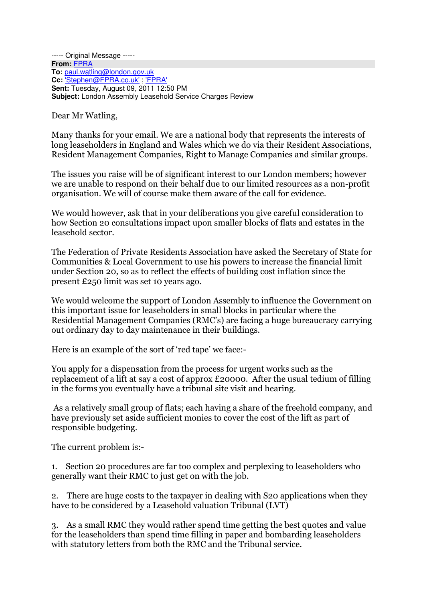--- Original Message -----**From:** FPRA **To:** paul.watling@london.gov.uk **Cc:** 'Stephen@FPRA.co.uk' ; 'FPRA' **Sent:** Tuesday, August 09, 2011 12:50 PM **Subject:** London Assembly Leasehold Service Charges Review

Dear Mr Watling,

Many thanks for your email. We are a national body that represents the interests of long leaseholders in England and Wales which we do via their Resident Associations, Resident Management Companies, Right to Manage Companies and similar groups.

The issues you raise will be of significant interest to our London members; however we are unable to respond on their behalf due to our limited resources as a non-profit organisation. We will of course make them aware of the call for evidence.

We would however, ask that in your deliberations you give careful consideration to how Section 20 consultations impact upon smaller blocks of flats and estates in the leasehold sector.

The Federation of Private Residents Association have asked the Secretary of State for Communities & Local Government to use his powers to increase the financial limit under Section 20, so as to reflect the effects of building cost inflation since the present £250 limit was set 10 years ago.

We would welcome the support of London Assembly to influence the Government on this important issue for leaseholders in small blocks in particular where the Residential Management Companies (RMC's) are facing a huge bureaucracy carrying out ordinary day to day maintenance in their buildings.

Here is an example of the sort of 'red tape' we face:-

You apply for a dispensation from the process for urgent works such as the replacement of a lift at say a cost of approx £20000. After the usual tedium of filling in the forms you eventually have a tribunal site visit and hearing.

 As a relatively small group of flats; each having a share of the freehold company, and have previously set aside sufficient monies to cover the cost of the lift as part of responsible budgeting.

The current problem is:-

1. Section 20 procedures are far too complex and perplexing to leaseholders who generally want their RMC to just get on with the job.

2. There are huge costs to the taxpayer in dealing with S20 applications when they have to be considered by a Leasehold valuation Tribunal (LVT)

3. As a small RMC they would rather spend time getting the best quotes and value for the leaseholders than spend time filling in paper and bombarding leaseholders with statutory letters from both the RMC and the Tribunal service.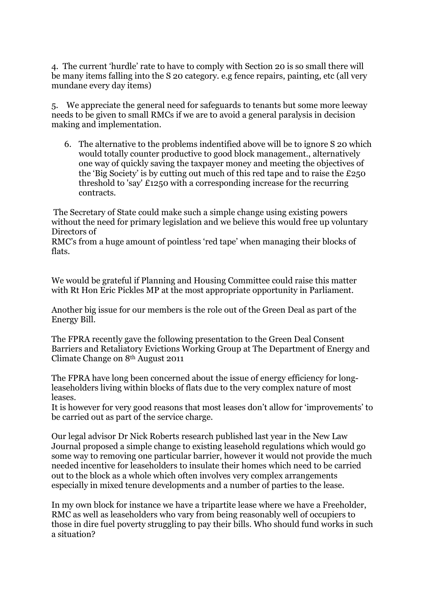4. The current 'hurdle' rate to have to comply with Section 20 is so small there will be many items falling into the S 20 category. e.g fence repairs, painting, etc (all very mundane every day items)

5. We appreciate the general need for safeguards to tenants but some more leeway needs to be given to small RMCs if we are to avoid a general paralysis in decision making and implementation.

6. The alternative to the problems indentified above will be to ignore S 20 which would totally counter productive to good block management., alternatively one way of quickly saving the taxpayer money and meeting the objectives of the 'Big Society' is by cutting out much of this red tape and to raise the £250 threshold to 'say' £1250 with a corresponding increase for the recurring contracts.

 The Secretary of State could make such a simple change using existing powers without the need for primary legislation and we believe this would free up voluntary Directors of

RMC's from a huge amount of pointless 'red tape' when managing their blocks of flats.

We would be grateful if Planning and Housing Committee could raise this matter with Rt Hon Eric Pickles MP at the most appropriate opportunity in Parliament.

Another big issue for our members is the role out of the Green Deal as part of the Energy Bill.

The FPRA recently gave the following presentation to the Green Deal Consent Barriers and Retaliatory Evictions Working Group at The Department of Energy and Climate Change on 8th August 2011

The FPRA have long been concerned about the issue of energy efficiency for longleaseholders living within blocks of flats due to the very complex nature of most leases.

It is however for very good reasons that most leases don't allow for 'improvements' to be carried out as part of the service charge.

Our legal advisor Dr Nick Roberts research published last year in the New Law Journal proposed a simple change to existing leasehold regulations which would go some way to removing one particular barrier, however it would not provide the much needed incentive for leaseholders to insulate their homes which need to be carried out to the block as a whole which often involves very complex arrangements especially in mixed tenure developments and a number of parties to the lease.

In my own block for instance we have a tripartite lease where we have a Freeholder, RMC as well as leaseholders who vary from being reasonably well of occupiers to those in dire fuel poverty struggling to pay their bills. Who should fund works in such a situation?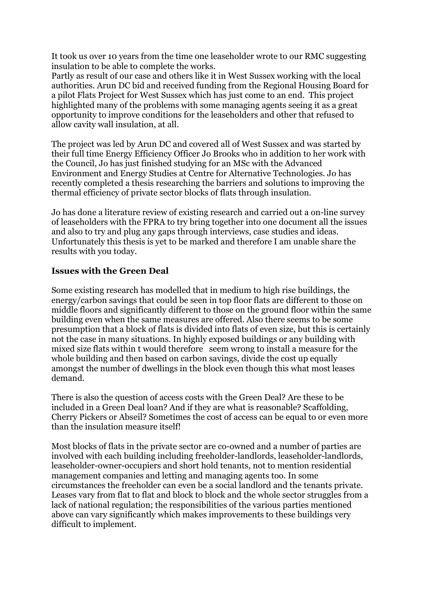It took us over 10 years from the time one leaseholder wrote to our RMC suggesting insulation to be able to complete the works.

Partly as result of our case and others like it in West Sussex working with the local authorities. Arun DC bid and received funding from the Regional Housing Board for a pilot Flats Project for West Sussex which has just come to an end. This project highlighted many of the problems with some managing agents seeing it as a great opportunity to improve conditions for the leaseholders and other that refused to allow cavity wall insulation, at all.

The project was led by Arun DC and covered all of West Sussex and was started by their full time Energy Efficiency Officer Jo Brooks who in addition to her work with the Council, Jo has just finished studying for an MSc with the Advanced Environment and Energy Studies at Centre for Alternative Technologies. Jo has recently completed a thesis researching the barriers and solutions to improving the thermal efficiency of private sector blocks of flats through insulation.

Jo has done a literature review of existing research and carried out a on-line survey of leaseholders with the FPRA to try bring together into one document all the issues and also to try and plug any gaps through interviews, case studies and ideas. Unfortunately this thesis is yet to be marked and therefore I am unable share the results with you today.

## Issues with the Green Deal

Some existing research has modelled that in medium to high rise buildings, the energy/carbon savings that could be seen in top floor flats are different to those on middle floors and significantly different to those on the ground floor within the same building even when the same measures are offered. Also there seems to be some presumption that a block of flats is divided into flats of even size, but this is certainly not the case in many situations. In highly exposed buildings or any building with mixed size flats within t would therefore seem wrong to install a measure for the whole building and then based on carbon savings, divide the cost up equally amongst the number of dwellings in the block even though this what most leases demand.

There is also the question of access costs with the Green Deal? Are these to be included in a Green Deal loan? And if they are what is reasonable? Scaffolding, Cherry Pickers or Abseil? Sometimes the cost of access can be equal to or even more than the insulation measure itself!

Most blocks of flats in the private sector are co-owned and a number of parties are involved with each building including freeholder-landlords, leaseholder-landlords, leaseholder-owner-occupiers and short hold tenants, not to mention residential management companies and letting and managing agents too. In some circumstances the freeholder can even be a social landlord and the tenants private. Leases vary from flat to flat and block to block and the whole sector struggles from a lack of national regulation; the responsibilities of the various parties mentioned above can vary significantly which makes improvements to these buildings very difficult to implement.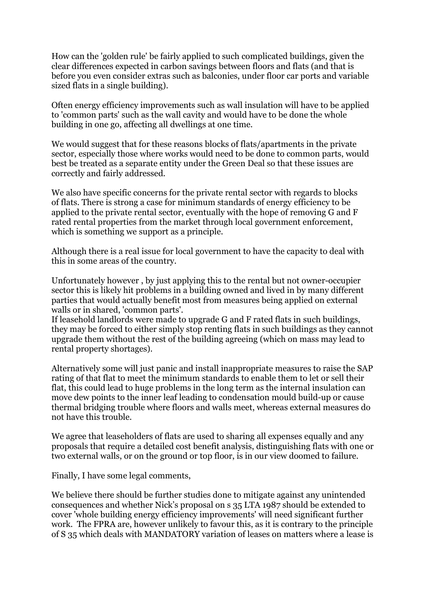How can the 'golden rule' be fairly applied to such complicated buildings, given the clear differences expected in carbon savings between floors and flats (and that is before you even consider extras such as balconies, under floor car ports and variable sized flats in a single building).

Often energy efficiency improvements such as wall insulation will have to be applied to 'common parts' such as the wall cavity and would have to be done the whole building in one go, affecting all dwellings at one time.

We would suggest that for these reasons blocks of flats/apartments in the private sector, especially those where works would need to be done to common parts, would best be treated as a separate entity under the Green Deal so that these issues are correctly and fairly addressed.

We also have specific concerns for the private rental sector with regards to blocks of flats. There is strong a case for minimum standards of energy efficiency to be applied to the private rental sector, eventually with the hope of removing G and F rated rental properties from the market through local government enforcement, which is something we support as a principle.

Although there is a real issue for local government to have the capacity to deal with this in some areas of the country.

Unfortunately however , by just applying this to the rental but not owner-occupier sector this is likely hit problems in a building owned and lived in by many different parties that would actually benefit most from measures being applied on external walls or in shared, 'common parts'.

If leasehold landlords were made to upgrade G and F rated flats in such buildings, they may be forced to either simply stop renting flats in such buildings as they cannot upgrade them without the rest of the building agreeing (which on mass may lead to rental property shortages).

Alternatively some will just panic and install inappropriate measures to raise the SAP rating of that flat to meet the minimum standards to enable them to let or sell their flat, this could lead to huge problems in the long term as the internal insulation can move dew points to the inner leaf leading to condensation mould build-up or cause thermal bridging trouble where floors and walls meet, whereas external measures do not have this trouble.

We agree that leaseholders of flats are used to sharing all expenses equally and any proposals that require a detailed cost benefit analysis, distinguishing flats with one or two external walls, or on the ground or top floor, is in our view doomed to failure.

Finally, I have some legal comments,

We believe there should be further studies done to mitigate against any unintended consequences and whether Nick's proposal on s 35 LTA 1987 should be extended to cover 'whole building energy efficiency improvements' will need significant further work. The FPRA are, however unlikely to favour this, as it is contrary to the principle of S 35 which deals with MANDATORY variation of leases on matters where a lease is